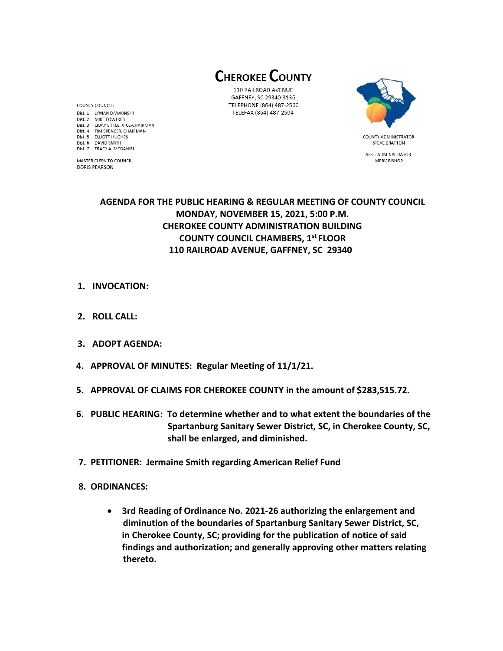**CHEROKEE COUNTY** 

110 RAILROAD AVENUE GAFFNEY, SC 29340-3136 TELEPHONE (864) 487-2560 TELEFAX (864) 487-2594



**STEVE BRATTON** 

ASST. ADMINISTRATOR

MERV BISHOP

# **AGENDA FOR THE PUBLIC HEARING & REGULAR MEETING OF COUNTY COUNCIL MONDAY, NOVEMBER 15, 2021, 5:00 P.M. CHEROKEE COUNTY ADMINISTRATION BUILDING COUNTY COUNCIL CHAMBERS, 1 st FLOOR 110 RAILROAD AVENUE, GAFFNEY, SC 29340**

- **1. INVOCATION:**
- **2. ROLL CALL:**
- **3. ADOPT AGENDA:**
- **4. APPROVAL OF MINUTES: Regular Meeting of 11/1/21.**
- **5. APPROVAL OF CLAIMS FOR CHEROKEE COUNTY in the amount of \$283,515.72.**
- **6. PUBLIC HEARING: To determine whether and to what extent the boundaries of the Spartanburg Sanitary Sewer District, SC, in Cherokee County, SC, shall be enlarged, and diminished.**
- **7. PETITIONER: Jermaine Smith regarding American Relief Fund**
- **8. ORDINANCES:** 
	- **3rd Reading of Ordinance No. 2021-26 authorizing the enlargement and diminution of the boundaries of Spartanburg Sanitary Sewer District, SC, in Cherokee County, SC; providing for the publication of notice of said findings and authorization; and generally approving other matters relating thereto.**

COUNTY COUNCIL: Dist. 1 LYMAN DAWKINS III Dist. 2 MIKE FOWLKES Dist. 3 QUAY LITTLE, VICE-CHAIRMAN Dist. 4 TIM SPENCER, CHAIRMAN Dist. 5 ELLIOTT HUGHES Dist. 6 DAVID SMITH Dist. 7 TRACY A. MCDANIEL

MASTER CLERK TO COUNCIL **DORIS PEARSON**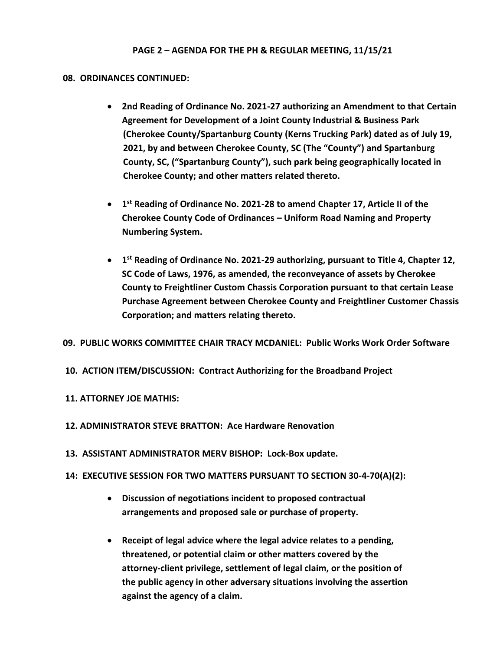## **08. ORDINANCES CONTINUED:**

- **2nd Reading of Ordinance No. 2021-27 authorizing an Amendment to that Certain Agreement for Development of a Joint County Industrial & Business Park (Cherokee County/Spartanburg County (Kerns Trucking Park) dated as of July 19, 2021, by and between Cherokee County, SC (The "County") and Spartanburg County, SC, ("Spartanburg County"), such park being geographically located in Cherokee County; and other matters related thereto.**
- **1 st Reading of Ordinance No. 2021-28 to amend Chapter 17, Article II of the Cherokee County Code of Ordinances – Uniform Road Naming and Property Numbering System.**
- **1 st Reading of Ordinance No. 2021-29 authorizing, pursuant to Title 4, Chapter 12, SC Code of Laws, 1976, as amended, the reconveyance of assets by Cherokee County to Freightliner Custom Chassis Corporation pursuant to that certain Lease Purchase Agreement between Cherokee County and Freightliner Customer Chassis Corporation; and matters relating thereto.**

## **09. PUBLIC WORKS COMMITTEE CHAIR TRACY MCDANIEL: Public Works Work Order Software**

**10. ACTION ITEM/DISCUSSION: Contract Authorizing for the Broadband Project**

# **11. ATTORNEY JOE MATHIS:**

- **12. ADMINISTRATOR STEVE BRATTON: Ace Hardware Renovation**
- **13. ASSISTANT ADMINISTRATOR MERV BISHOP: Lock-Box update.**
- **14: EXECUTIVE SESSION FOR TWO MATTERS PURSUANT TO SECTION 30-4-70(A)(2):**
	- **Discussion of negotiations incident to proposed contractual arrangements and proposed sale or purchase of property.**
	- **Receipt of legal advice where the legal advice relates to a pending, threatened, or potential claim or other matters covered by the attorney-client privilege, settlement of legal claim, or the position of the public agency in other adversary situations involving the assertion against the agency of a claim.**